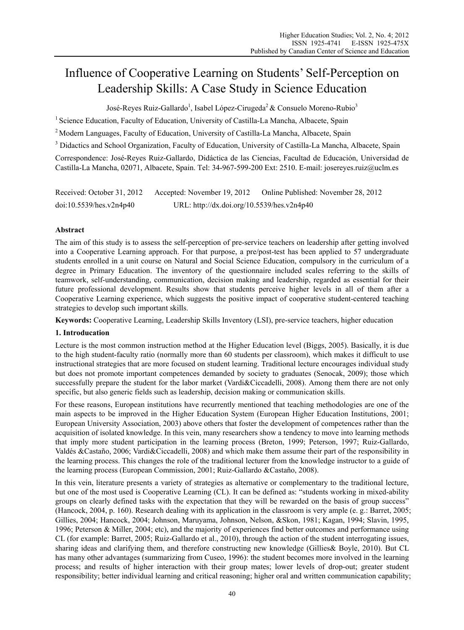# Influence of Cooperative Learning on Students' Self-Perception on Leadership Skills: A Case Study in Science Education

José-Reyes Ruiz-Gallardo<sup>1</sup>, Isabel López-Cirugeda<sup>2</sup> & Consuelo Moreno-Rubio<sup>3</sup>

<sup>1</sup> Science Education, Faculty of Education, University of Castilla-La Mancha, Albacete, Spain

<sup>2</sup> Modern Languages, Faculty of Education, University of Castilla-La Mancha, Albacete, Spain

<sup>3</sup> Didactics and School Organization, Faculty of Education, University of Castilla-La Mancha, Albacete, Spain

Correspondence: José-Reyes Ruiz-Gallardo, Didáctica de las Ciencias, Facultad de Educación, Universidad de Castilla-La Mancha, 02071, Albacete, Spain. Tel: 34-967-599-200 Ext: 2510. E-mail: josereyes.ruiz@uclm.es

| Received: October 31, 2012 | Accepted: November 19, 2012                | Online Published: November 28, 2012 |
|----------------------------|--------------------------------------------|-------------------------------------|
| doi:10.5539/hes.v2n4p40    | URL: http://dx.doi.org/10.5539/hes.v2n4p40 |                                     |

# **Abstract**

The aim of this study is to assess the self-perception of pre-service teachers on leadership after getting involved into a Cooperative Learning approach. For that purpose, a pre/post-test has been applied to 57 undergraduate students enrolled in a unit course on Natural and Social Science Education, compulsory in the curriculum of a degree in Primary Education. The inventory of the questionnaire included scales referring to the skills of teamwork, self-understanding, communication, decision making and leadership, regarded as essential for their future professional development. Results show that students perceive higher levels in all of them after a Cooperative Learning experience, which suggests the positive impact of cooperative student-centered teaching strategies to develop such important skills.

**Keywords:** Cooperative Learning, Leadership Skills Inventory (LSI), pre-service teachers, higher education

## **1. Introducation**

Lecture is the most common instruction method at the Higher Education level (Biggs, 2005). Basically, it is due to the high student-faculty ratio (normally more than 60 students per classroom), which makes it difficult to use instructional strategies that are more focused on student learning. Traditional lecture encourages individual study but does not promote important competences demanded by society to graduates (Senocak, 2009); those which successfully prepare the student for the labor market (Vardi&Ciccadelli, 2008). Among them there are not only specific, but also generic fields such as leadership, decision making or communication skills.

For these reasons, European institutions have recurrently mentioned that teaching methodologies are one of the main aspects to be improved in the Higher Education System (European Higher Education Institutions, 2001; European University Association, 2003) above others that foster the development of competences rather than the acquisition of isolated knowledge. In this vein, many researchers show a tendency to move into learning methods that imply more student participation in the learning process (Breton, 1999; Peterson, 1997; Ruiz-Gallardo, Valdés &Castaño, 2006; Vardi&Ciccadelli, 2008) and which make them assume their part of the responsibility in the learning process. This changes the role of the traditional lecturer from the knowledge instructor to a guide of the learning process (European Commission, 2001; Ruiz-Gallardo &Castaño, 2008).

In this vein, literature presents a variety of strategies as alternative or complementary to the traditional lecture, but one of the most used is Cooperative Learning (CL). It can be defined as: "students working in mixed-ability groups on clearly defined tasks with the expectation that they will be rewarded on the basis of group success" (Hancock, 2004, p. 160). Research dealing with its application in the classroom is very ample (e. g.: Barret, 2005; Gillies, 2004; Hancock, 2004; Johnson, Maruyama, Johnson, Nelson, &Skon, 1981; Kagan, 1994; Slavin, 1995, 1996; Peterson & Miller, 2004; etc), and the majority of experiences find better outcomes and performance using CL (for example: Barret, 2005; Ruiz-Gallardo et al., 2010), through the action of the student interrogating issues, sharing ideas and clarifying them, and therefore constructing new knowledge (Gillies& Boyle, 2010). But CL has many other advantages (summarizing from Cuseo, 1996): the student becomes more involved in the learning process; and results of higher interaction with their group mates; lower levels of drop-out; greater student responsibility; better individual learning and critical reasoning; higher oral and written communication capability;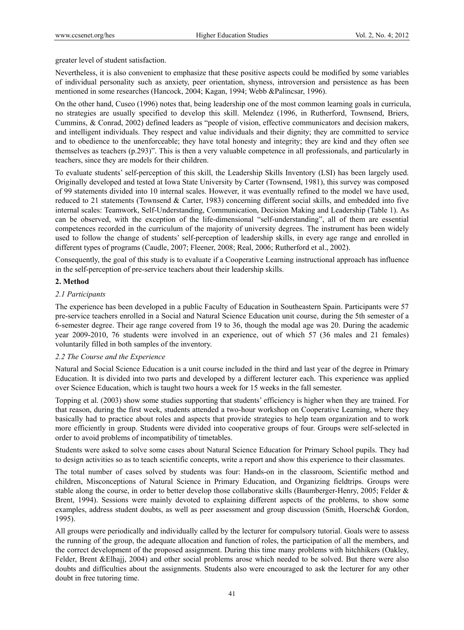greater level of student satisfaction.

Nevertheless, it is also convenient to emphasize that these positive aspects could be modified by some variables of individual personality such as anxiety, peer orientation, shyness, introversion and persistence as has been mentioned in some researches (Hancock, 2004; Kagan, 1994; Webb &Palincsar, 1996).

On the other hand, Cuseo (1996) notes that, being leadership one of the most common learning goals in curricula, no strategies are usually specified to develop this skill. Melendez (1996, in Rutherford, Townsend, Briers, Cummins, & Conrad, 2002) defined leaders as "people of vision, effective communicators and decision makers, and intelligent individuals. They respect and value individuals and their dignity; they are committed to service and to obedience to the unenforceable; they have total honesty and integrity; they are kind and they often see themselves as teachers (p.293)". This is then a very valuable competence in all professionals, and particularly in teachers, since they are models for their children.

To evaluate students' self-perception of this skill, the Leadership Skills Inventory (LSI) has been largely used. Originally developed and tested at Iowa State University by Carter (Townsend, 1981), this survey was composed of 99 statements divided into 10 internal scales. However, it was eventually refined to the model we have used, reduced to 21 statements (Townsend & Carter, 1983) concerning different social skills, and embedded into five internal scales: Teamwork, Self-Understanding, Communication, Decision Making and Leadership (Table 1). As can be observed, with the exception of the life-dimensional "self-understanding", all of them are essential competences recorded in the curriculum of the majority of university degrees. The instrument has been widely used to follow the change of students' self-perception of leadership skills, in every age range and enrolled in different types of programs (Caudle, 2007; Fleener, 2008; Real, 2006; Rutherford et al., 2002).

Consequently, the goal of this study is to evaluate if a Cooperative Learning instructional approach has influence in the self-perception of pre-service teachers about their leadership skills.

# **2. Method**

# *2.1 Participants*

The experience has been developed in a public Faculty of Education in Southeastern Spain. Participants were 57 pre-service teachers enrolled in a Social and Natural Science Education unit course, during the 5th semester of a 6-semester degree. Their age range covered from 19 to 36, though the modal age was 20. During the academic year 2009-2010, 76 students were involved in an experience, out of which 57 (36 males and 21 females) voluntarily filled in both samples of the inventory.

# *2.2 The Course and the Experience*

Natural and Social Science Education is a unit course included in the third and last year of the degree in Primary Education. It is divided into two parts and developed by a different lecturer each. This experience was applied over Science Education, which is taught two hours a week for 15 weeks in the fall semester.

Topping et al. (2003) show some studies supporting that students' efficiency is higher when they are trained. For that reason, during the first week, students attended a two-hour workshop on Cooperative Learning, where they basically had to practice about roles and aspects that provide strategies to help team organization and to work more efficiently in group. Students were divided into cooperative groups of four. Groups were self-selected in order to avoid problems of incompatibility of timetables.

Students were asked to solve some cases about Natural Science Education for Primary School pupils. They had to design activities so as to teach scientific concepts, write a report and show this experience to their classmates.

The total number of cases solved by students was four: Hands-on in the classroom, Scientific method and children, Misconceptions of Natural Science in Primary Education, and Organizing fieldtrips. Groups were stable along the course, in order to better develop those collaborative skills (Baumberger-Henry, 2005; Felder & Brent, 1994). Sessions were mainly devoted to explaining different aspects of the problems, to show some examples, address student doubts, as well as peer assessment and group discussion (Smith, Hoersch& Gordon, 1995).

All groups were periodically and individually called by the lecturer for compulsory tutorial. Goals were to assess the running of the group, the adequate allocation and function of roles, the participation of all the members, and the correct development of the proposed assignment. During this time many problems with hitchhikers (Oakley, Felder, Brent &Elhajj, 2004) and other social problems arose which needed to be solved. But there were also doubts and difficulties about the assignments. Students also were encouraged to ask the lecturer for any other doubt in free tutoring time.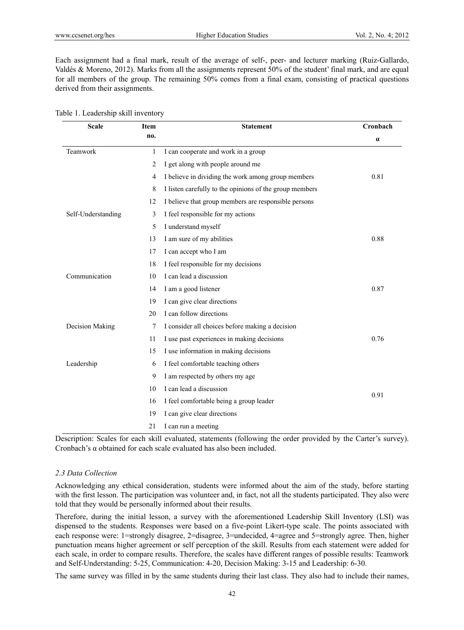Each assignment had a final mark, result of the average of self-, peer- and lecturer marking (Ruiz-Gallardo, Valdés & Moreno, 2012). Marks from all the assignments represent 50% of the student' final mark, and are equal for all members of the group. The remaining 50% comes from a final exam, consisting of practical questions derived from their assignments.

| <b>Scale</b>       | <b>Item</b> | <b>Statement</b>                                        | Cronbach |
|--------------------|-------------|---------------------------------------------------------|----------|
|                    | no.         |                                                         | $\alpha$ |
| Teamwork           | 1           | I can cooperate and work in a group                     |          |
|                    | 2           | I get along with people around me                       |          |
|                    | 4           | I believe in dividing the work among group members      | 0.81     |
|                    | 8           | I listen carefully to the opinions of the group members |          |
|                    | 12          | I believe that group members are responsible persons    |          |
| Self-Understanding | 3           | I feel responsible for my actions                       |          |
|                    | 5           | I understand myself                                     |          |
|                    | 13          | I am sure of my abilities                               | 0.88     |
|                    | 17          | I can accept who I am                                   |          |
|                    | 18          | I feel responsible for my decisions                     |          |
| Communication      | 10          | I can lead a discussion                                 |          |
|                    | 14          | I am a good listener                                    | 0.87     |
|                    | 19          | I can give clear directions                             |          |
|                    | 20          | I can follow directions                                 |          |
| Decision Making    | 7           | I consider all choices before making a decision         |          |
|                    | 11          | I use past experiences in making decisions              | 0.76     |
|                    | 15          | I use information in making decisions                   |          |
| Leadership         | 6           | I feel comfortable teaching others                      |          |
|                    | 9           | I am respected by others my age                         |          |
|                    | 10          | I can lead a discussion                                 | 0.91     |
|                    | 16          | I feel comfortable being a group leader                 |          |
|                    | 19          | I can give clear directions                             |          |
|                    | 21          | I can run a meeting                                     |          |

Table 1. Leadership skill inventory

Description: Scales for each skill evaluated, statements (following the order provided by the Carter's survey). Cronbach's α obtained for each scale evaluated has also been included.

#### *2.3 Data Collection*

Acknowledging any ethical consideration, students were informed about the aim of the study, before starting with the first lesson. The participation was volunteer and, in fact, not all the students participated. They also were told that they would be personally informed about their results.

Therefore, during the initial lesson, a survey with the aforementioned Leadership Skill Inventory (LSI) was dispensed to the students. Responses were based on a five-point Likert-type scale. The points associated with each response were: 1=strongly disagree, 2=disagree, 3=undecided, 4=agree and 5=strongly agree. Then, higher punctuation means higher agreement or self perception of the skill. Results from each statement were added for each scale, in order to compare results. Therefore, the scales have different ranges of possible results: Teamwork and Self-Understanding: 5-25, Communication: 4-20, Decision Making: 3-15 and Leadership: 6-30.

The same survey was filled in by the same students during their last class. They also had to include their names,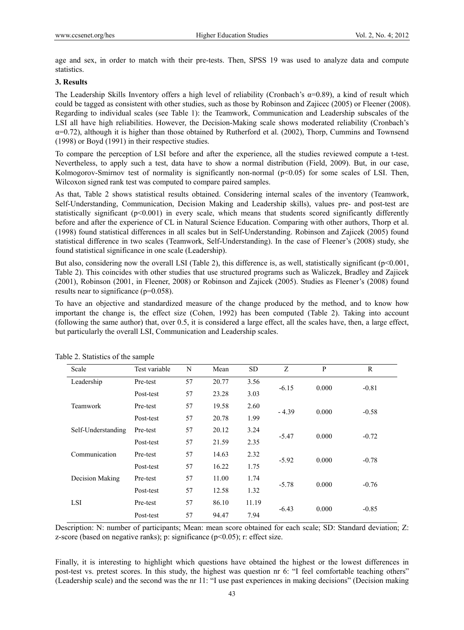age and sex, in order to match with their pre-tests. Then, SPSS 19 was used to analyze data and compute **statistics** 

# **3. Results**

The Leadership Skills Inventory offers a high level of reliability (Cronbach's  $\alpha$ =0.89), a kind of result which could be tagged as consistent with other studies, such as those by Robinson and Zajicec (2005) or Fleener (2008). Regarding to individual scales (see Table 1): the Teamwork, Communication and Leadership subscales of the LSI all have high reliabilities. However, the Decision-Making scale shows moderated reliability (Cronbach's  $\alpha$ =0.72), although it is higher than those obtained by Rutherford et al. (2002), Thorp, Cummins and Townsend (1998) or Boyd (1991) in their respective studies.

To compare the perception of LSI before and after the experience, all the studies reviewed compute a t-test. Nevertheless, to apply such a test, data have to show a normal distribution (Field, 2009). But, in our case, Kolmogorov-Smirnov test of normality is significantly non-normal  $(p<0.05)$  for some scales of LSI. Then, Wilcoxon signed rank test was computed to compare paired samples.

As that, Table 2 shows statistical results obtained. Considering internal scales of the inventory (Teamwork, Self-Understanding, Communication, Decision Making and Leadership skills), values pre- and post-test are statistically significant ( $p<0.001$ ) in every scale, which means that students scored significantly differently before and after the experience of CL in Natural Science Education. Comparing with other authors, Thorp et al. (1998) found statistical differences in all scales but in Self-Understanding. Robinson and Zajicek (2005) found statistical difference in two scales (Teamwork, Self-Understanding). In the case of Fleener's (2008) study, she found statistical significance in one scale (Leadership).

But also, considering now the overall LSI (Table 2), this difference is, as well, statistically significant (p<0.001, Table 2). This coincides with other studies that use structured programs such as Waliczek, Bradley and Zajicek (2001), Robinson (2001, in Fleener, 2008) or Robinson and Zajicek (2005). Studies as Fleener's (2008) found results near to significance (p=0.058).

To have an objective and standardized measure of the change produced by the method, and to know how important the change is, the effect size (Cohen, 1992) has been computed (Table 2). Taking into account (following the same author) that, over 0.5, it is considered a large effect, all the scales have, then, a large effect, but particularly the overall LSI, Communication and Leadership scales.

| Scale              | Test variable | N  | Mean  | <b>SD</b> | Z       | P     | R       |
|--------------------|---------------|----|-------|-----------|---------|-------|---------|
| Leadership         | Pre-test      | 57 | 20.77 | 3.56      | $-6.15$ | 0.000 | $-0.81$ |
|                    | Post-test     | 57 | 23.28 | 3.03      |         |       |         |
| Teamwork           | Pre-test      | 57 | 19.58 | 2.60      | $-4.39$ | 0.000 | $-0.58$ |
|                    | Post-test     | 57 | 20.78 | 1.99      |         |       |         |
| Self-Understanding | Pre-test      | 57 | 20.12 | 3.24      | $-5.47$ | 0.000 | $-0.72$ |
|                    | Post-test     | 57 | 21.59 | 2.35      |         |       |         |
| Communication      | Pre-test      | 57 | 14.63 | 2.32      | $-5.92$ | 0.000 | $-0.78$ |
|                    | Post-test     | 57 | 16.22 | 1.75      |         |       |         |
| Decision Making    | Pre-test      | 57 | 11.00 | 1.74      | $-5.78$ | 0.000 | $-0.76$ |
|                    | Post-test     | 57 | 12.58 | 1.32      |         |       |         |
| LSI                | Pre-test      | 57 | 86.10 | 11.19     | $-6.43$ | 0.000 | $-0.85$ |
|                    | Post-test     | 57 | 94.47 | 7.94      |         |       |         |

Table 2. Statistics of the sample

Description: N: number of participants; Mean: mean score obtained for each scale; SD: Standard deviation; Z: z-score (based on negative ranks); p: significance ( $p$ <0.05); r: effect size.

Finally, it is interesting to highlight which questions have obtained the highest or the lowest differences in post-test vs. pretest scores. In this study, the highest was question nr 6: "I feel comfortable teaching others" (Leadership scale) and the second was the nr 11: "I use past experiences in making decisions" (Decision making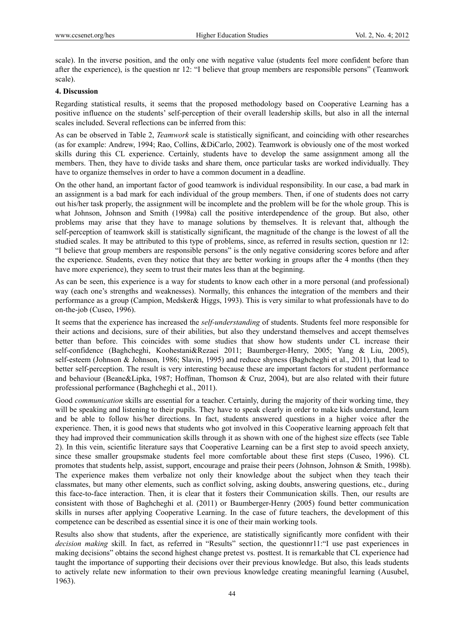scale). In the inverse position, and the only one with negative value (students feel more confident before than after the experience), is the question nr 12: "I believe that group members are responsible persons" (Teamwork scale).

# **4. Discussion**

Regarding statistical results, it seems that the proposed methodology based on Cooperative Learning has a positive influence on the students' self-perception of their overall leadership skills, but also in all the internal scales included. Several reflections can be inferred from this:

As can be observed in Table 2, *Teamwork* scale is statistically significant, and coinciding with other researches (as for example: Andrew, 1994; Rao, Collins, &DiCarlo, 2002). Teamwork is obviously one of the most worked skills during this CL experience. Certainly, students have to develop the same assignment among all the members. Then, they have to divide tasks and share them, once particular tasks are worked individually. They have to organize themselves in order to have a common document in a deadline.

On the other hand, an important factor of good teamwork is individual responsibility. In our case, a bad mark in an assignment is a bad mark for each individual of the group members. Then, if one of students does not carry out his/her task properly, the assignment will be incomplete and the problem will be for the whole group. This is what Johnson, Johnson and Smith (1998a) call the positive interdependence of the group. But also, other problems may arise that they have to manage solutions by themselves. It is relevant that, although the self-perception of teamwork skill is statistically significant, the magnitude of the change is the lowest of all the studied scales. It may be attributed to this type of problems, since, as referred in results section, question nr 12: "I believe that group members are responsible persons" is the only negative considering scores before and after the experience. Students, even they notice that they are better working in groups after the 4 months (then they have more experience), they seem to trust their mates less than at the beginning.

As can be seen, this experience is a way for students to know each other in a more personal (and professional) way (each one's strengths and weaknesses). Normally, this enhances the integration of the members and their performance as a group (Campion, Medsker& Higgs, 1993). This is very similar to what professionals have to do on-the-job (Cuseo, 1996).

It seems that the experience has increased the *self-understanding* of students. Students feel more responsible for their actions and decisions, sure of their abilities, but also they understand themselves and accept themselves better than before. This coincides with some studies that show how students under CL increase their self-confidence (Baghcheghi, Koohestani&Rezaei 2011; Baumberger-Henry, 2005; Yang & Liu, 2005), self-esteem (Johnson & Johnson, 1986; Slavin, 1995) and reduce shyness (Baghcheghi et al., 2011), that lead to better self-perception. The result is very interesting because these are important factors for student performance and behaviour (Beane&Lipka, 1987; Hoffman, Thomson & Cruz, 2004), but are also related with their future professional performance (Baghcheghi et al., 2011).

Good *communication* skills are essential for a teacher. Certainly, during the majority of their working time, they will be speaking and listening to their pupils. They have to speak clearly in order to make kids understand, learn and be able to follow his/her directions. In fact, students answered questions in a higher voice after the experience. Then, it is good news that students who got involved in this Cooperative learning approach felt that they had improved their communication skills through it as shown with one of the highest size effects (see Table 2). In this vein, scientific literature says that Cooperative Learning can be a first step to avoid speech anxiety, since these smaller groupsmake students feel more comfortable about these first steps (Cuseo, 1996). CL promotes that students help, assist, support, encourage and praise their peers (Johnson, Johnson & Smith, 1998b). The experience makes them verbalize not only their knowledge about the subject when they teach their classmates, but many other elements, such as conflict solving, asking doubts, answering questions, etc., during this face-to-face interaction. Then, it is clear that it fosters their Communication skills. Then, our results are consistent with those of Baghcheghi et al. (2011) or Baumberger-Henry (2005) found better communication skills in nurses after applying Cooperative Learning. In the case of future teachers, the development of this competence can be described as essential since it is one of their main working tools.

Results also show that students, after the experience, are statistically significantly more confident with their *decision making* skill. In fact, as referred in "Results" section, the questionnr11:"I use past experiences in making decisions" obtains the second highest change pretest vs. posttest. It is remarkable that CL experience had taught the importance of supporting their decisions over their previous knowledge. But also, this leads students to actively relate new information to their own previous knowledge creating meaningful learning (Ausubel, 1963).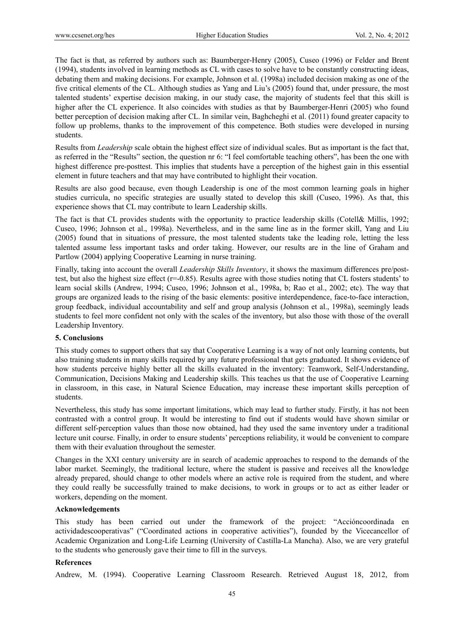The fact is that, as referred by authors such as: Baumberger-Henry (2005), Cuseo (1996) or Felder and Brent (1994), students involved in learning methods as CL with cases to solve have to be constantly constructing ideas, debating them and making decisions. For example, Johnson et al. (1998a) included decision making as one of the five critical elements of the CL. Although studies as Yang and Liu's (2005) found that, under pressure, the most talented students' expertise decision making, in our study case, the majority of students feel that this skill is higher after the CL experience. It also coincides with studies as that by Baumberger-Henri (2005) who found better perception of decision making after CL. In similar vein, Baghcheghi et al. (2011) found greater capacity to follow up problems, thanks to the improvement of this competence. Both studies were developed in nursing students.

Results from *Leadership* scale obtain the highest effect size of individual scales. But as important is the fact that, as referred in the "Results" section, the question nr 6: "I feel comfortable teaching others", has been the one with highest difference pre-posttest. This implies that students have a perception of the highest gain in this essential element in future teachers and that may have contributed to highlight their vocation.

Results are also good because, even though Leadership is one of the most common learning goals in higher studies curricula, no specific strategies are usually stated to develop this skill (Cuseo, 1996). As that, this experience shows that CL may contribute to learn Leadership skills.

The fact is that CL provides students with the opportunity to practice leadership skills (Cotell& Millis, 1992; Cuseo, 1996; Johnson et al., 1998a). Nevertheless, and in the same line as in the former skill, Yang and Liu (2005) found that in situations of pressure, the most talented students take the leading role, letting the less talented assume less important tasks and order taking. However, our results are in the line of Graham and Partlow (2004) applying Cooperative Learning in nurse training.

Finally, taking into account the overall *Leadership Skills Inventory*, it shows the maximum differences pre/posttest, but also the highest size effect  $(r=-0.85)$ . Results agree with those studies noting that CL fosters students' to learn social skills (Andrew, 1994; Cuseo, 1996; Johnson et al., 1998a, b; Rao et al., 2002; etc). The way that groups are organized leads to the rising of the basic elements: positive interdependence, face-to-face interaction, group feedback, individual accountability and self and group analysis (Johnson et al., 1998a), seemingly leads students to feel more confident not only with the scales of the inventory, but also those with those of the overall Leadership Inventory.

## **5. Conclusions**

This study comes to support others that say that Cooperative Learning is a way of not only learning contents, but also training students in many skills required by any future professional that gets graduated. It shows evidence of how students perceive highly better all the skills evaluated in the inventory: Teamwork, Self-Understanding, Communication, Decisions Making and Leadership skills. This teaches us that the use of Cooperative Learning in classroom, in this case, in Natural Science Education, may increase these important skills perception of students.

Nevertheless, this study has some important limitations, which may lead to further study. Firstly, it has not been contrasted with a control group. It would be interesting to find out if students would have shown similar or different self-perception values than those now obtained, had they used the same inventory under a traditional lecture unit course. Finally, in order to ensure students' perceptions reliability, it would be convenient to compare them with their evaluation throughout the semester.

Changes in the XXI century university are in search of academic approaches to respond to the demands of the labor market. Seemingly, the traditional lecture, where the student is passive and receives all the knowledge already prepared, should change to other models where an active role is required from the student, and where they could really be successfully trained to make decisions, to work in groups or to act as either leader or workers, depending on the moment.

## **Acknowledgements**

This study has been carried out under the framework of the project: "Accióncoordinada en actividadescooperativas" ("Coordinated actions in cooperative activities"), founded by the Vicecancellor of Academic Organization and Long-Life Learning (University of Castilla-La Mancha). Also, we are very grateful to the students who generously gave their time to fill in the surveys.

## **References**

Andrew, M. (1994). Cooperative Learning Classroom Research. Retrieved August 18, 2012, from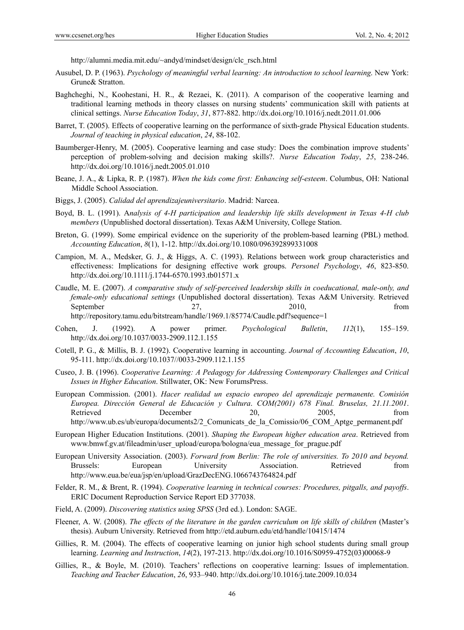http://alumni.media.mit.edu/~andyd/mindset/design/clc\_rsch.html

- Ausubel, D. P. (1963). *Psychology of meaningful verbal learning: An introduction to school learning*. New York: Grune& Stratton.
- Baghcheghi, N., Koohestani, H. R., & Rezaei, K. (2011). A comparison of the cooperative learning and traditional learning methods in theory classes on nursing students' communication skill with patients at clinical settings. *Nurse Education Today*, *31*, 877-882. http://dx.doi.org/10.1016/j.nedt.2011.01.006
- Barret, T. (2005). Effects of cooperative learning on the performance of sixth-grade Physical Education students. *Journal of teaching in physical education*, *24*, 88-102.
- Baumberger-Henry, M. (2005). Cooperative learning and case study: Does the combination improve students' perception of problem-solving and decision making skills?. *Nurse Education Today*, *25*, 238-246. http://dx.doi.org/10.1016/j.nedt.2005.01.010
- Beane, J. A., & Lipka, R. P. (1987). *When the kids come first: Enhancing self-esteem*. Columbus, OH: National Middle School Association.
- Biggs, J. (2005). *Calidad del aprendizajeuniversitario*. Madrid: Narcea.
- Boyd, B. L. (1991). A*nalysis of 4-H participation and leadership life skills development in Texas 4-H club members* (Unpublished doctoral dissertation). Texas A&M University, College Station.
- Breton, G. (1999). Some empirical evidence on the superiority of the problem-based learning (PBL) method. *Accounting Education*, *8*(1), 1-12. http://dx.doi.org/10.1080/096392899331008
- Campion, M. A., Medsker, G. J., & Higgs, A. C. (1993). Relations between work group characteristics and effectiveness: Implications for designing effective work groups. *Personel Psychology*, *46*, 823-850. http://dx.doi.org/10.1111/j.1744-6570.1993.tb01571.x
- Caudle, M. E. (2007). *A comparative study of self-perceived leadership skills in coeducational, male-only, and female-only educational settings* (Unpublished doctoral dissertation). Texas A&M University. Retrieved September 27, 2010, from http://repository.tamu.edu/bitstream/handle/1969.1/85774/Caudle.pdf?sequence=1
- Cohen, J. (1992). A power primer. *Psychological Bulletin*, *112*(1), 155–159. http://dx.doi.org/10.1037/0033-2909.112.1.155
- Cotell, P. G., & Millis, B. J. (1992). Cooperative learning in accounting. *Journal of Accounting Education*, *10*, 95-111. http://dx.doi.org/10.1037//0033-2909.112.1.155
- Cuseo, J. B. (1996). *Cooperative Learning: A Pedagogy for Addressing Contemporary Challenges and Critical Issues in Higher Education*. Stillwater, OK: New ForumsPress.
- European Commission. (2001). *Hacer realidad un espacio europeo del aprendizaje permanente. Comisión Europea. Dirección General de Educación y Cultura*. *COM(2001) 678 Final. Bruselas, 21.11.2001*. Retrieved December 20, 2005, from http://www.ub.es/ub/europa/documents2/2\_Comunicats\_de\_la\_Comissio/06\_COM\_Aptge\_permanent.pdf
- European Higher Education Institutions. (2001). *Shaping the European higher education area*. Retrieved from www.bmwf.gv.at/fileadmin/user\_upload/europa/bologna/eua\_message\_for\_prague.pdf
- European University Association. (2003). *Forward from Berlin: The role of universities. To 2010 and beyond.* Brussels: European University Association. Retrieved from http://www.eua.be/eua/jsp/en/upload/GrazDecENG.1066743764824.pdf
- Felder, R. M., & Brent, R. (1994). *Cooperative learning in technical courses: Procedures, pitgalls, and payoffs*. ERIC Document Reproduction Service Report ED 377038.
- Field, A. (2009). *Discovering statistics using SPSS* (3rd ed.). London: SAGE.
- Fleener, A. W. (2008). *The effects of the literature in the garden curriculum on life skills of children* (Master's thesis). Auburn University. Retrieved from http://etd.auburn.edu/etd/handle/10415/1474
- Gillies, R. M. (2004). The effects of cooperative learning on junior high school students during small group learning. *Learning and Instruction*, *14*(2), 197-213. http://dx.doi.org/10.1016/S0959-4752(03)00068-9
- Gillies, R., & Boyle, M. (2010). Teachers' reflections on cooperative learning: Issues of implementation. *Teaching and Teacher Education*, *26*, 933–940. http://dx.doi.org/10.1016/j.tate.2009.10.034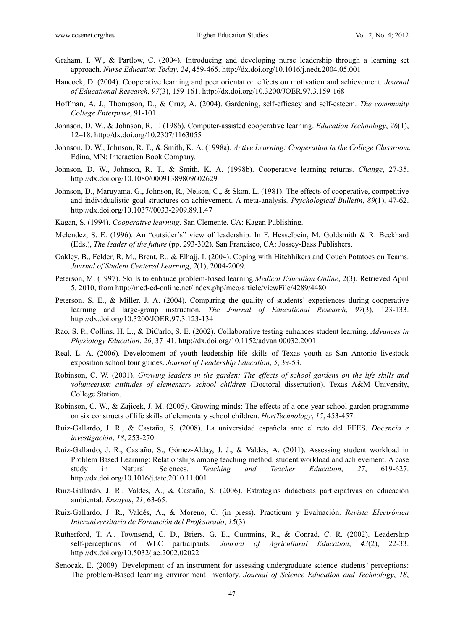- Graham, I. W., & Partlow, C. (2004). Introducing and developing nurse leadership through a learning set approach. *Nurse Education Today*, *24*, 459-465. http://dx.doi.org/10.1016/j.nedt.2004.05.001
- Hancock, D. (2004). Cooperative learning and peer orientation effects on motivation and achievement. *Journal of Educational Research*, *97*(3), 159-161. http://dx.doi.org/10.3200/JOER.97.3.159-168
- Hoffman, A. J., Thompson, D., & Cruz, A. (2004). Gardening, self-efficacy and self-esteem. *The community College Enterprise*, 91-101.
- Johnson, D. W., & Johnson, R. T. (1986). Computer-assisted cooperative learning. *Education Technology*, *26*(1), 12–18. http://dx.doi.org/10.2307/1163055
- Johnson, D. W., Johnson, R. T., & Smith, K. A. (1998a)*. Active Learning: Cooperation in the College Classroom*. Edina, MN: Interaction Book Company.
- Johnson, D. W., Johnson, R. T., & Smith, K. A. (1998b). Cooperative learning returns. *Change*, 27-35. http://dx.doi.org/10.1080/00091389809602629
- Johnson, D., Maruyama, G., Johnson, R., Nelson, C., & Skon, L. (1981). The effects of cooperative, competitive and individualistic goal structures on achievement. A meta-analysis*. Psychological Bulletin*, *89*(1), 47-62. http://dx.doi.org/10.1037//0033-2909.89.1.47
- Kagan, S. (1994). *Cooperative learning*. San Clemente, CA: Kagan Publishing.
- Melendez, S. E. (1996). An "outsider's" view of leadership. In F. Hesselbein, M. Goldsmith & R. Beckhard (Eds.), *The leader of the future* (pp. 293-302). San Francisco, CA: Jossey-Bass Publishers.
- Oakley, B., Felder, R. M., Brent, R., & Elhajj, I. (2004). Coping with Hitchhikers and Couch Potatoes on Teams. *Journal of Student Centered Learning*, *2*(1), 2004-2009.
- Peterson, M. (1997). Skills to enhance problem-based learning.*Medical Education Online*, 2(3). Retrieved April 5, 2010, from http://med-ed-online.net/index.php/meo/article/viewFile/4289/4480
- Peterson. S. E., & Miller. J. A. (2004). Comparing the quality of students' experiences during cooperative learning and large-group instruction. *The Journal of Educational Research*, *97*(3), 123-133. http://dx.doi.org/10.3200/JOER.97.3.123-134
- Rao, S. P., Collins, H. L., & DiCarlo, S. E. (2002). Collaborative testing enhances student learning. *Advances in Physiology Education*, *26*, 37–41. http://dx.doi.org/10.1152/advan.00032.2001
- Real, L. A. (2006). Development of youth leadership life skills of Texas youth as San Antonio livestock exposition school tour guides. *Journal of Leadership Education*, *5*, 39-53.
- Robinson, C. W. (2001). *Growing leaders in the garden: The effects of school gardens on the life skills and volunteerism attitudes of elementary school children* (Doctoral dissertation). Texas A&M University, College Station.
- Robinson, C. W., & Zajicek, J. M. (2005). Growing minds: The effects of a one-year school garden programme on six constructs of life skills of elementary school children. *HortTechnology*, *15*, 453-457.
- Ruiz-Gallardo, J. R., & Castaño, S. (2008). La universidad española ante el reto del EEES. *Docencia e investigación*, *18*, 253-270.
- Ruiz-Gallardo, J. R., Castaño, S., Gómez-Alday, J. J., & Valdés, A. (2011). Assessing student workload in Problem Based Learning: Relationships among teaching method, student workload and achievement. A case study in Natural Sciences. *Teaching and Teacher Education*, *27*, 619-627. http://dx.doi.org/10.1016/j.tate.2010.11.001
- Ruiz-Gallardo, J. R., Valdés, A., & Castaño, S. (2006). Estrategias didácticas participativas en educación ambiental. *Ensayos*, *21*, 63-65.
- Ruiz-Gallardo, J. R., Valdés, A., & Moreno, C. (in press). Practicum y Evaluación. *Revista Electrónica Interuniversitaria de Formación del Profesorado*, *15*(3).
- Rutherford, T. A., Townsend, C. D., Briers, G. E., Cummins, R., & Conrad, C. R. (2002). Leadership self-perceptions of WLC participants. *Journal of Agricultural Education*, *43*(2), 22-33. http://dx.doi.org/10.5032/jae.2002.02022
- Senocak, E. (2009). Development of an instrument for assessing undergraduate science students' perceptions: The problem-Based learning environment inventory. *Journal of Science Education and Technology*, *18*,